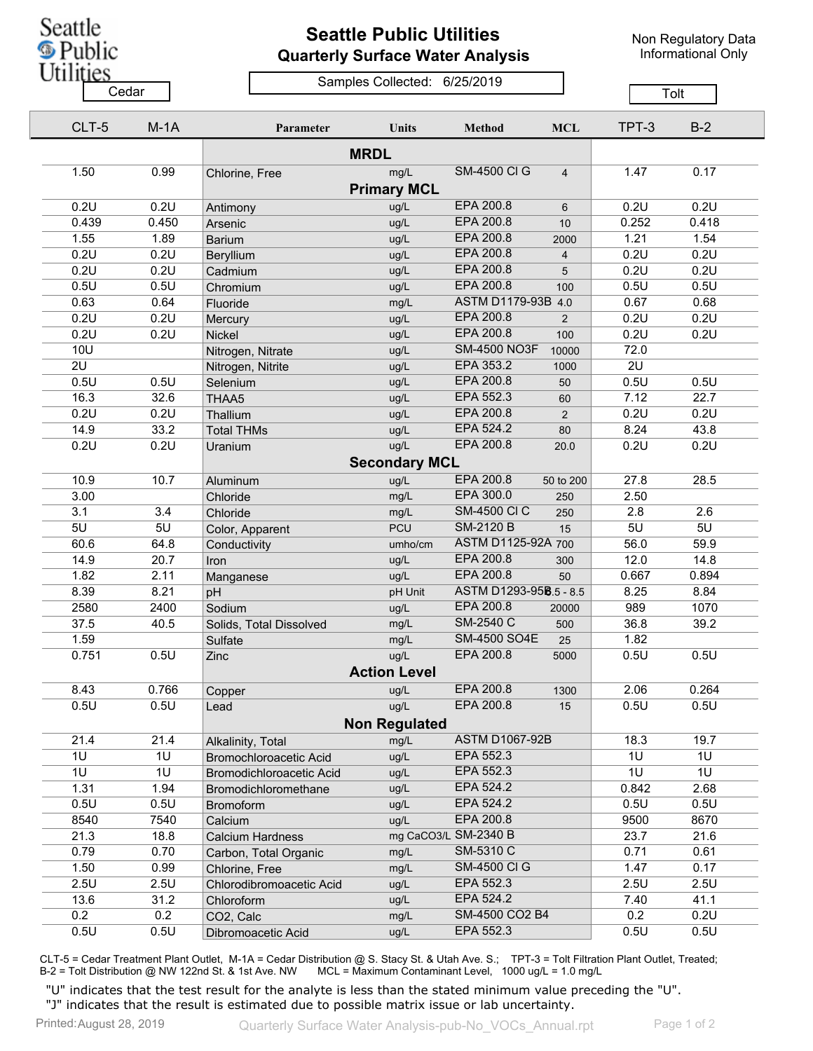

## **Seattle Public Utilities Quarterly Surface Water Analysis**

Non Regulatory Data Informational Only

## Samples Collected: 6/25/2019 Cedar **Cedar** Cedar Cedar Cedar Cedar Tolt

| CLT-5       | $M-1A$         | Parameter                | <b>Units</b>         | <b>Method</b>          | <b>MCL</b>     | TPT-3 | $B-2$ |  |  |
|-------------|----------------|--------------------------|----------------------|------------------------|----------------|-------|-------|--|--|
| <b>MRDL</b> |                |                          |                      |                        |                |       |       |  |  |
| 1.50        | 0.99           | Chlorine, Free           | mg/L                 | <b>SM-4500 CI G</b>    | $\overline{4}$ | 1.47  | 0.17  |  |  |
|             |                |                          | <b>Primary MCL</b>   |                        |                |       |       |  |  |
| 0.2U        | 0.2U           | Antimony                 | ug/L                 | EPA 200.8              | 6              | 0.2U  | 0.2U  |  |  |
| 0.439       | 0.450          | Arsenic                  | ug/L                 | EPA 200.8              | 10             | 0.252 | 0.418 |  |  |
| 1.55        | 1.89           | <b>Barium</b>            | ug/L                 | EPA 200.8              | 2000           | 1.21  | 1.54  |  |  |
| 0.2U        | 0.2U           | Beryllium                | ug/L                 | EPA 200.8              | 4              | 0.2U  | 0.2U  |  |  |
| 0.2U        | 0.2U           | Cadmium                  | ug/L                 | EPA 200.8              | 5              | 0.2U  | 0.2U  |  |  |
| 0.5U        | 0.5U           | Chromium                 | ug/L                 | EPA 200.8              | 100            | 0.5U  | 0.5U  |  |  |
| 0.63        | 0.64           | Fluoride                 | mg/L                 | ASTM D1179-93B 4.0     |                | 0.67  | 0.68  |  |  |
| 0.2U        | 0.2U           | Mercury                  | ug/L                 | <b>EPA 200.8</b>       | 2              | 0.2U  | 0.2U  |  |  |
| 0.2U        | 0.2U           | Nickel                   | ug/L                 | EPA 200.8              | 100            | 0.2U  | 0.2U  |  |  |
| <b>10U</b>  |                | Nitrogen, Nitrate        | ug/L                 | <b>SM-4500 NO3F</b>    | 10000          | 72.0  |       |  |  |
| 2U          |                | Nitrogen, Nitrite        | ug/L                 | EPA 353.2              | 1000           | 2U    |       |  |  |
| 0.5U        | 0.5U           | Selenium                 | ug/L                 | EPA 200.8              | 50             | 0.5U  | 0.5U  |  |  |
| 16.3        | 32.6           | THAA5                    | ug/L                 | EPA 552.3              | 60             | 7.12  | 22.7  |  |  |
| 0.2U        | 0.2U           | Thallium                 | ug/L                 | EPA 200.8              | 2              | 0.2U  | 0.2U  |  |  |
| 14.9        | 33.2           | <b>Total THMs</b>        | ug/L                 | EPA 524.2              | 80             | 8.24  | 43.8  |  |  |
| 0.2U        | 0.2U           | Uranium                  | ug/L                 | EPA 200.8              | 20.0           | 0.2U  | 0.2U  |  |  |
|             |                |                          | <b>Secondary MCL</b> |                        |                |       |       |  |  |
| 10.9        | 10.7           | Aluminum                 | ug/L                 | EPA 200.8              | 50 to 200      | 27.8  | 28.5  |  |  |
| 3.00        |                | Chloride                 | mg/L                 | EPA 300.0              | 250            | 2.50  |       |  |  |
| 3.1         | 3.4            | Chloride                 | mg/L                 | <b>SM-4500 CI C</b>    | 250            | 2.8   | 2.6   |  |  |
| 5U          | 5U             | Color, Apparent          | PCU                  | <b>SM-2120 B</b>       | 15             | 5U    | 5U    |  |  |
| 60.6        | 64.8           | Conductivity             | umho/cm              | ASTM D1125-92A 700     |                | 56.0  | 59.9  |  |  |
| 14.9        | 20.7           | Iron                     | ug/L                 | EPA 200.8              | 300            | 12.0  | 14.8  |  |  |
| 1.82        | 2.11           | Manganese                | ug/L                 | EPA 200.8              | 50             | 0.667 | 0.894 |  |  |
| 8.39        | 8.21           | pH                       | pH Unit              | ASTM D1293-958.5 - 8.5 |                | 8.25  | 8.84  |  |  |
| 2580        | 2400           | Sodium                   | ug/L                 | EPA 200.8              | 20000          | 989   | 1070  |  |  |
| 37.5        | 40.5           | Solids, Total Dissolved  | mg/L                 | SM-2540 C              | 500            | 36.8  | 39.2  |  |  |
| 1.59        |                | Sulfate                  | mg/L                 | SM-4500 SO4E           | 25             | 1.82  |       |  |  |
| 0.751       | 0.5U           | Zinc                     | ug/L                 | EPA 200.8              | 5000           | 0.5U  | 0.5U  |  |  |
|             |                |                          | <b>Action Level</b>  |                        |                |       |       |  |  |
| 8.43        | 0.766          | Copper                   | ug/L                 | EPA 200.8              | 1300           | 2.06  | 0.264 |  |  |
| 0.5U        | 0.5U           | Lead                     | ug/L                 | EPA 200.8              | 15             | 0.5U  | 0.5U  |  |  |
|             |                |                          | <b>Non Regulated</b> |                        |                |       |       |  |  |
| 21.4        | 21.4           | Alkalinity, Total        | mg/L                 | <b>ASTM D1067-92B</b>  |                | 18.3  | 19.7  |  |  |
| 1U          | 1U             | Bromochloroacetic Acid   | ug/L                 | EPA 552.3              |                | 1U    | 1U    |  |  |
| 1U          | 1 <sub>U</sub> | Bromodichloroacetic Acid | ug/L                 | EPA 552.3              |                | 1U    | 1U    |  |  |
| 1.31        | 1.94           | Bromodichloromethane     | ug/L                 | EPA 524.2              |                | 0.842 | 2.68  |  |  |
| 0.5U        | 0.5U           | Bromoform                | ug/L                 | EPA 524.2              |                | 0.5U  | 0.5U  |  |  |
| 8540        | 7540           | Calcium                  | ug/L                 | EPA 200.8              |                | 9500  | 8670  |  |  |
| 21.3        | 18.8           | <b>Calcium Hardness</b>  |                      | mg CaCO3/L SM-2340 B   |                | 23.7  | 21.6  |  |  |
| 0.79        | 0.70           | Carbon, Total Organic    | mg/L                 | SM-5310 C              |                | 0.71  | 0.61  |  |  |
| 1.50        | 0.99           | Chlorine, Free           | mg/L                 | <b>SM-4500 CI G</b>    |                | 1.47  | 0.17  |  |  |
| 2.5U        | 2.5U           | Chlorodibromoacetic Acid | ug/L                 | EPA 552.3              |                | 2.5U  | 2.5U  |  |  |
| 13.6        | 31.2           | Chloroform               | ug/L                 | EPA 524.2              |                | 7.40  | 41.1  |  |  |
| 0.2         | 0.2            | CO2, Calc                | mg/L                 | SM-4500 CO2 B4         |                | 0.2   | 0.2U  |  |  |
| 0.5U        | 0.5U           | Dibromoacetic Acid       | ug/L                 | EPA 552.3              |                | 0.5U  | 0.5U  |  |  |

CLT-5 = Cedar Treatment Plant Outlet, M-1A = Cedar Distribution @ S. Stacy St. & Utah Ave. S.; TPT-3 = Tolt Filtration Plant Outlet, Treated; B-2 = Tolt Distribution @ NW 122nd St. & 1st Ave. NW MCL = Maximum Contaminant Level, 1000 ug/L = 1.0 mg/L

"U" indicates that the test result for the analyte is less than the stated minimum value preceding the "U". "J" indicates that the result is estimated due to possible matrix issue or lab uncertainty.